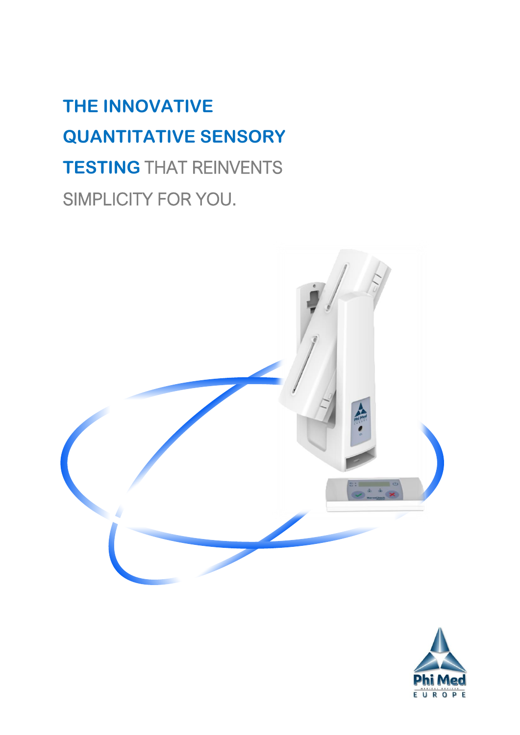# **THE INNOVATIVE QUANTITATIVE SENSORY TESTING** THAT REINVENTS SIMPLICITY FOR YOU.



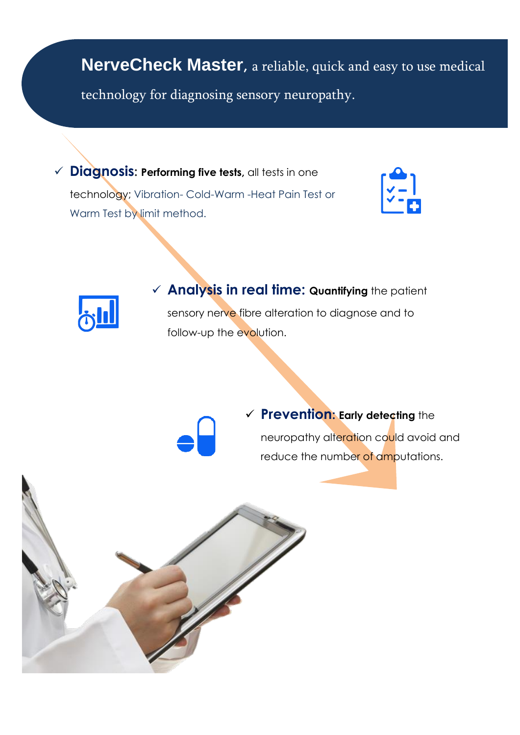**NerveCheck Master,** a reliable, quick and easy to use medical technology for diagnosing sensory neuropathy.

✓ **Diagnosis: Performing five tests,** all tests in one technology; Vibration- Cold-Warm -Heat Pain Test or Warm Test by limit method.





✓ **Analysis in real time: Quantifying** the patient sensory nerve fibre alteration to diagnose and to follow-up the evolution.

✓ **Prevention: Early detecting** the neuropathy alteration could avoid and reduce the number of amputations.

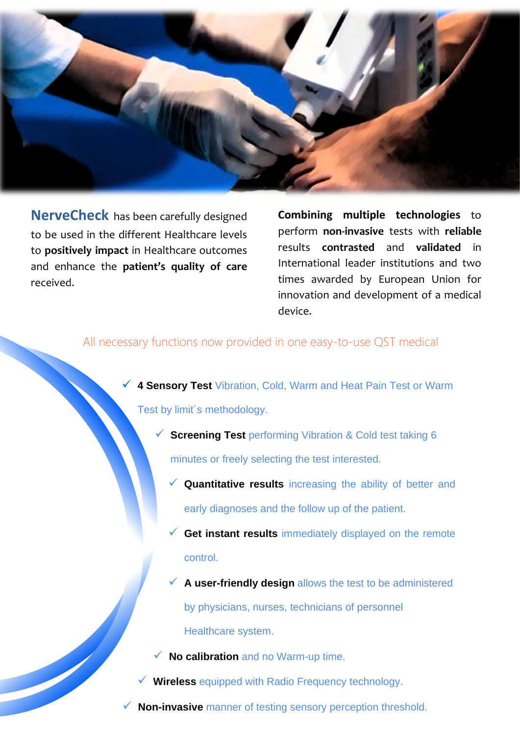

 **NerveCheck** has been carefully designed to be used in the different Healthcare levels to **positively impact** in Healthcare outcomes and enhance the **patient's quality of care** received.

**Combining multiple technologies** to perform **non-invasive** tests with **reliable** results **contrasted** and **validated** in International leader institutions and two times awarded by European Union for innovation and development of a medical device.

# All necessary functions now provided in one easy-to-use QST medical

**4 Sensory Test** Vibration, Cold, Warm and Heat Pain Test or Warm Test by limit´s methodology.

✓ **Screening Test** performing Vibration & Cold test taking 6

minutes or freely selecting the test interested.

- ✓ **Quantitative results** increasing the ability of better and early diagnoses and the follow up of the patient.
- ✓ **Get instant results** immediately displayed on the remote control.
- ✓ **A user-friendly design** allows the test to be administered by physicians, nurses, technicians of personnel Healthcare system.

**No calibration and no Warm-up time.** 

✓ **Wireless** equipped with Radio Frequency technology.

**Non-invasive** manner of testing sensory perception threshold.